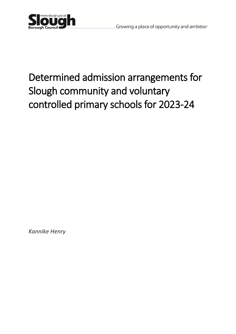

# Determined admission arrangements for Slough community and voluntary controlled primary schools for 2023-24

*Kannike Henry*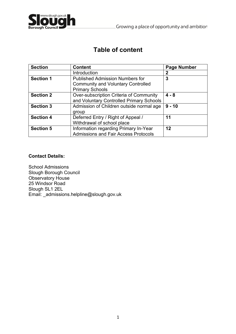

# **Table of content**

| <b>Section</b>   | <b>Content</b>                              | Page Number |
|------------------|---------------------------------------------|-------------|
|                  | Introduction                                | 2           |
| <b>Section 1</b> | <b>Published Admission Numbers for</b>      | 3           |
|                  | <b>Community and Voluntary Controlled</b>   |             |
|                  | <b>Primary Schools</b>                      |             |
| <b>Section 2</b> | Over-subscription Criteria of Community     | $4 - 8$     |
|                  | and Voluntary Controlled Primary Schools    |             |
| <b>Section 3</b> | Admission of Children outside normal age    | $9 - 10$    |
|                  | group                                       |             |
| <b>Section 4</b> | Deferred Entry / Right of Appeal /          | 11          |
|                  | Withdrawal of school place                  |             |
| <b>Section 5</b> | Information regarding Primary In-Year       | 12          |
|                  | <b>Admissions and Fair Access Protocols</b> |             |

### **Contact Details:**

School Admissions Slough Borough Council Observatory House 25 Windsor Road Slough SL1 2EL Email: \_admissions.helpline@slough.gov.uk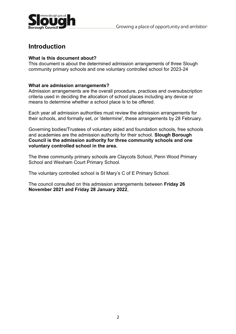

# **Introduction**

### **What is this document about?**

This document is about the determined admission arrangements of three Slough community primary schools and one voluntary controlled school for 2023-24

#### **What are admission arrangements?**

Admission arrangements are the overall procedure, practices and oversubscription criteria used in deciding the allocation of school places including any device or means to determine whether a school place is to be offered.

Each year all admission authorities must review the admission arrangements for their schools, and formally set, or 'determine', these arrangements by 28 February.

Governing bodies/Trustees of voluntary aided and foundation schools, free schools and academies are the admission authority for their school. **Slough Borough Council is the admission authority for three community schools and one voluntary controlled school in the area.**

The three community primary schools are Claycots School, Penn Wood Primary School and Wexham Court Primary School.

The voluntary controlled school is St Mary's C of E Primary School.

The council consulted on this admission arrangements between **Friday 26 November 2021 and Friday 28 January 2022**,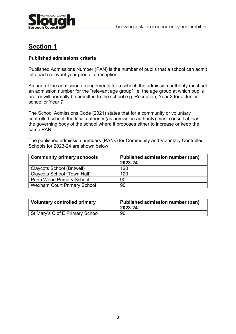

# **Published admissions criteria**

Published Admissions Number (PAN) is the number of pupils that a school can admit into each relevant year group i.e reception

As part of the admission arrangements for a school, the admission authority must set an admission number for the "relevant age group" i.e. the age group at which pupils are, or will normally be admitted to the school e.g. Reception, Year 3 for a Junior school or Year 7.

The School Admissions Code (2021) states that for a community or voluntary controlled school, the local authority (as admission authority) must consult at least the governing body of the school where it proposes either to increase or keep the same PAN.

The published admission numbers (PANs) for Community and Voluntary Controlled Schools for 2023-24 are shown below:

| <b>Community primary schoools</b>  | Published admission number (pan)<br>2023-24 |
|------------------------------------|---------------------------------------------|
| Claycots School (Britwell)         | 120                                         |
| Claycots School (Town Hall)        | 120                                         |
| <b>Penn Wood Primary School</b>    | 90                                          |
| <b>Wexham Court Primary School</b> | 90                                          |

| <b>Voluntary controlled primary</b> | Published admission number (pan)<br>2023-24 |
|-------------------------------------|---------------------------------------------|
| St Mary's C of E Primary School     | 90                                          |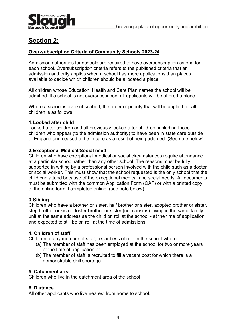



# **Section 2:**

# **Over-subscription Criteria of Community Schools 2023-24**

Admission authorities for schools are required to have oversubscription criteria for each school. Oversubscription criteria refers to the published criteria that an admission authority applies when a school has more applications than places available to decide which children should be allocated a place.

All children whose Education, Health and Care Plan names the school will be admitted. If a school is not oversubscribed, all applicants will be offered a place.

Where a school is oversubscribed, the order of priority that will be applied for all children is as follows:

#### **1.Looked after child**

Looked after children and all previously looked after children, including those children who appear (to the admission authority) to have been in state care outside of England and ceased to be in care as a result of being adopted. (See note below)

#### **2.Exceptional Medical/Social need**

Children who have exceptional medical or social circumstances require attendance at a particular school rather than any other school. The reasons must be fully supported in writing by a professional person involved with the child such as a doctor or social worker. This must show that the school requested is the only school that the child can attend because of the exceptional medical and social needs. All documents must be submitted with the common Application Form (CAF) or with a printed copy of the online form if completed online. (see note below)

#### **3.Sibling**

Children who have a brother or sister, half brother or sister, adopted brother or sister, step brother or sister, foster brother or sister (not cousins), living in the same family unit at the same address as the child on roll at the school - at the time of application and expected to still be on roll at the time of admissions.

#### **4. Children of staff**

Children of any member of staff, regardless of role in the school where

- (a) The member of staff has been employed at the school for two or more years at the time of application or
- (b) The member of staff is recruited to fill a vacant post for which there is a demonstrable skill shortage

#### **5. Catchment area**

Children who live in the catchment area of the school

#### **6. Distance**

All other applicants who live nearest from home to school.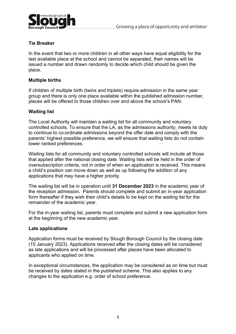

# **Tie Breaker**

In the event that two or more children in all other ways have equal eligibility for the last available place at the school and cannot be separated, their names will be issued a number and drawn randomly to decide which child should be given the place.

### **Multiple births**

If children of multiple birth (twins and triplets) require admission in the same year group and there is only one place available within the published admission number, places will be offered to those children over and above the school's PAN.

### **Waiting list**

The Local Authority will maintain a waiting list for all community and voluntary controlled schools. To ensure that the LA, as the admissions authority, meets its duty to continue to co-ordinate admissions beyond the offer date and comply with the parents' highest possible preference, we will ensure that waiting lists do not contain lower ranked preferences.

Waiting lists for all community and voluntary controlled schools will include all those that applied after the national closing date. Waiting lists will be held in the order of oversubscription criteria, not in order of when an application is received. This means a child's position can move down as well as up following the addition of any applications that may have a higher priority.

The waiting list will be in operation until **31 December 2023** in the academic year of the reception admission**.** Parents should complete and submit an in-year application form thereafter if they wish their child's details to be kept on the waiting list for the remainder of the academic year.

For the in-year waiting list, parents must complete and submit a new application form at the beginning of the new academic year.

#### **Late applications**

Application forms must be received by Slough Borough Council by the closing date (15 January 2023). Applications received after the closing dates will be considered as late applications and will be processed after places have been allocated to applicants who applied on time.

In exceptional circumstances, the application may be considered as on time but must be received by dates stated in the published scheme. This also applies to any changes to the application e.g. order of school preference.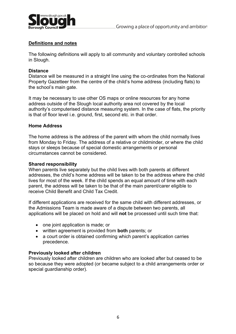

# **Definitions and notes**

The following definitions will apply to all community and voluntary controlled schools in Slough.

#### **Distance**

Distance will be measured in a straight line using the co-ordinates from the National Property Gazetteer from the centre of the child's home address (including flats) to the school's main gate.

It may be necessary to use other OS maps or online resources for any home address outside of the Slough local authority area not covered by the local authority's computerised distance measuring system. In the case of flats, the priority is that of floor level i.e. ground, first, second etc. in that order.

#### **Home Address**

The home address is the address of the parent with whom the child normally lives from Monday to Friday. The address of a relative or childminder, or where the child stays or sleeps because of special domestic arrangements or personal circumstances cannot be considered.

#### **Shared responsibility**

When parents live separately but the child lives with both parents at different addresses, the child's home address will be taken to be the address where the child lives for most of the week. If the child spends an equal amount of time with each parent, the address will be taken to be that of the main parent/carer eligible to receive Child Benefit and Child Tax Credit.

If different applications are received for the same child with different addresses, or the Admissions Team is made aware of a dispute between two parents, all applications will be placed on hold and will **not** be processed until such time that:

- one joint application is made; or
- written agreement is provided from **both** parents; or
- a court order is obtained confirming which parent's application carries precedence.

#### **Previously looked after children**

Previously looked after children are children who are looked after but ceased to be so because they were adopted (or became subject to a child arrangements order or special guardianship order).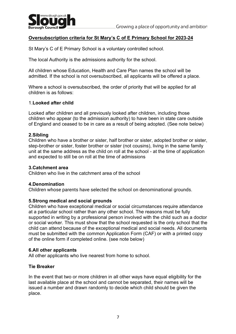



# **Oversubscription criteria for St Mary's C of E Primary School for 2023-24**

St Mary's C of E Primary School is a voluntary controlled school.

The local Authority is the admissions authority for the school.

All children whose Education, Health and Care Plan names the school will be admitted. If the school is not oversubscribed, all applicants will be offered a place.

Where a school is oversubscribed, the order of priority that will be applied for all children is as follows:

#### 1.**Looked after child**

Looked after children and all previously looked after children, including those children who appear (to the admission authority) to have been in state care outside of England and ceased to be in care as a result of being adopted. (See note below)

#### **2.Sibling**

Children who have a brother or sister, half brother or sister, adopted brother or sister, step-brother or sister, foster brother or sister (not cousins), living in the same family unit at the same address as the child on roll at the school - at the time of application and expected to still be on roll at the time of admissions

#### **3.Catchment area**

Children who live in the catchment area of the school

#### **4.Denomination**

Children whose parents have selected the school on denominational grounds.

#### **5.Strong medical and social grounds**

Children who have exceptional medical or social circumstances require attendance at a particular school rather than any other school. The reasons must be fully supported in writing by a professional person involved with the child such as a doctor or social worker. This must show that the school requested is the only school that the child can attend because of the exceptional medical and social needs. All documents must be submitted with the common Application Form (CAF) or with a printed copy of the online form if completed online. (see note below)

#### **6.All other applicants**

All other applicants who live nearest from home to school.

#### **Tie Breaker**

In the event that two or more children in all other ways have equal eligibility for the last available place at the school and cannot be separated, their names will be issued a number and drawn randomly to decide which child should be given the place.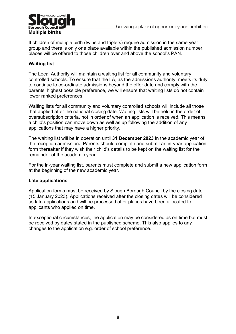

If children of multiple birth (twins and triplets) require admission in the same year group and there is only one place available within the published admission number, places will be offered to those children over and above the school's PAN.

# **Waiting list**

The Local Authority will maintain a waiting list for all community and voluntary controlled schools. To ensure that the LA, as the admissions authority, meets its duty to continue to co-ordinate admissions beyond the offer date and comply with the parents' highest possible preference, we will ensure that waiting lists do not contain lower ranked preferences.

Waiting lists for all community and voluntary controlled schools will include all those that applied after the national closing date. Waiting lists will be held in the order of oversubscription criteria, not in order of when an application is received. This means a child's position can move down as well as up following the addition of any applications that may have a higher priority.

The waiting list will be in operation until **31 December 2023** in the academic year of the reception admission**.** Parents should complete and submit an in-year application form thereafter if they wish their child's details to be kept on the waiting list for the remainder of the academic year.

For the in-year waiting list, parents must complete and submit a new application form at the beginning of the new academic year.

#### **Late applications**

Application forms must be received by Slough Borough Council by the closing date (15 January 2023). Applications received after the closing dates will be considered as late applications and will be processed after places have been allocated to applicants who applied on time.

In exceptional circumstances, the application may be considered as on time but must be received by dates stated in the published scheme. This also applies to any changes to the application e.g. order of school preference.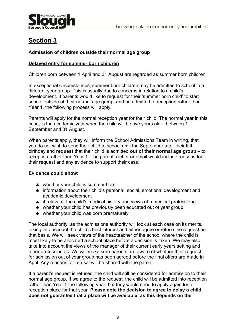



# **Admission of children outside their normal age group**

### **Delayed entry for summer born children**

Children born between 1 April and 31 August are regarded as summer born children.

In exceptional circumstances, summer born children may be admitted to school in a different year group. This is usually due to concerns in relation to a child's development. If parents would like to request for their 'summer born child' to start school outside of their normal age group, and be admitted to reception rather than Year 1, the following process will apply.

Parents will apply for the normal reception year for their child. The normal year in this case, is the academic year when the child will be five years old – between 1 September and 31 August.

When parents apply, they will inform the School Admissions Team in writing, that you do not wish to send their child to school until the September after their fifth birthday and **request** that their child is admitted **out of their normal age group** – to reception rather than Year 1. The parent's letter or email would include reasons for their request and any evidence to support their case.

#### **Evidence could show:**

- whether your child is summer born
- **\*** information about their child's personal, social, emotional development and academic development
- **\*** if relevant, the child's medical history and views of a medical professional
- \* whether your child has previously been educated out of year group
- \* whether your child was born prematurely

The local authority, as the admissions authority will look at each case on its merits, taking into account the child's best interest and either agree or refuse the request on that basis. We will seek views of the headteacher of the school where the child is most likely to be allocated a school place before a decision is taken. We may also take into account the views of the manager of their current early years setting and other professionals. We will make sure parents are aware of whether their request for admission out of year group has been agreed before the final offers are made in April. Any reasons for refusal will be shared with the parent.

If a parent's request is refused, the child will still be considered for admission to their normal age group. If we agree to the request, the child will be admitted into reception rather than Year 1 the following year; but they would need to apply again for a reception place for that year. **Please note the decision to agree to delay a child does not guarantee that a place will be available, as this depends on the**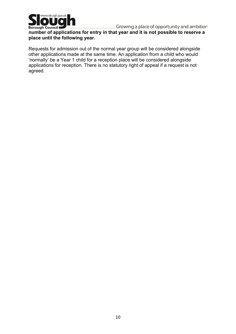Growing a place of opportunity and ambition



**number of applications for entry in that year and it is not possible to reserve a place until the following year.** 

Requests for admission out of the normal year group will be considered alongside other applications made at the same time. An application from a child who would 'normally' be a Year 1 child for a reception place will be considered alongside applications for reception. There is no statutory right of appeal if a request is not agreed.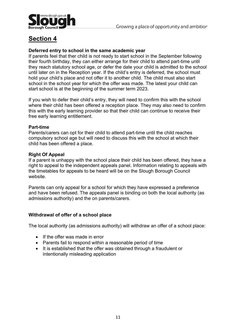

### **Deferred entry to school in the same academic year**

If parents feel that ther child is not ready to start school in the September following their fourth birthday, they can either arrange for their child to attend part-time until they reach statutory school age, or defer the date your child is admitted to the school until later on in the Reception year. If the child's entry is deferred, the school must hold your child's place and not offer it to another child. The child must also start school in the school year for which the offer was made. The latest your child can start school is at the beginning of the summer term 2023.

If you wish to defer their child's entry, they will need to confirm this with the school where their child has been offered a reception place. They may also need to confirm this with the early learning provider so that their child can continue to receive their free early learning entitlement.

#### **Part-time**

Parents/carers can opt for their child to attend part-time until the child reaches compulsory school age but will need to discuss this with the school at which their child has been offered a place.

#### **Right Of Appeal**

If a parent is unhappy with the school place their child has been offered, they have a right to appeal to the independent appeals panel. Information relating to appeals with the timetables for appeals to be heard will be on the Slough Borough Council website.

Parents can only appeal for a school for which they have expressed a preference and have been refused. The appeals panel is binding on both the local authority (as admissions authority) and the on parents/carers.

#### **Withdrawal of offer of a school place**

The local authority (as admissions authority) will withdraw an offer of a school place:

- If the offer was made in error
- Parents fail to respond within a reasonable period of time
- It is established that the offer was obtained through a fraudulent or intentionally misleading application